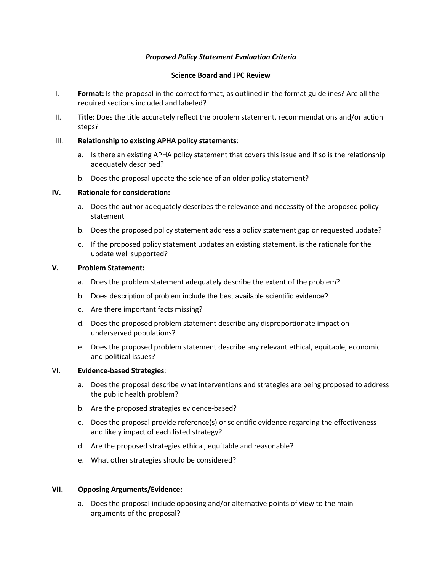# *Proposed Policy Statement Evaluation Criteria*

#### **Science Board and JPC Review**

- I. **Format:** Is the proposal in the correct format, as outlined in the format guidelines? Are all the required sections included and labeled?
- II. **Title**: Does the title accurately reflect the problem statement, recommendations and/or action steps?

## III. **Relationship to existing APHA policy statements**:

- a. Is there an existing APHA policy statement that covers this issue and if so is the relationship adequately described?
- b. Does the proposal update the science of an older policy statement?

## **IV. Rationale for consideration:**

- a. Does the author adequately describes the relevance and necessity of the proposed policy statement
- b. Does the proposed policy statement address a policy statement gap or requested update?
- c. If the proposed policy statement updates an existing statement, is the rationale for the update well supported?

#### **V. Problem Statement:**

- a. Does the problem statement adequately describe the extent of the problem?
- b. Does description of problem include the best available scientific evidence?
- c. Are there important facts missing?
- d. Does the proposed problem statement describe any disproportionate impact on underserved populations?
- e. Does the proposed problem statement describe any relevant ethical, equitable, economic and political issues?

## VI. **Evidence-based Strategies**:

- a. Does the proposal describe what interventions and strategies are being proposed to address the public health problem?
- b. Are the proposed strategies evidence-based?
- c. Does the proposal provide reference(s) or scientific evidence regarding the effectiveness and likely impact of each listed strategy?
- d. Are the proposed strategies ethical, equitable and reasonable?
- e. What other strategies should be considered?

#### **VII. Opposing Arguments/Evidence:**

a. Does the proposal include opposing and/or alternative points of view to the main arguments of the proposal?